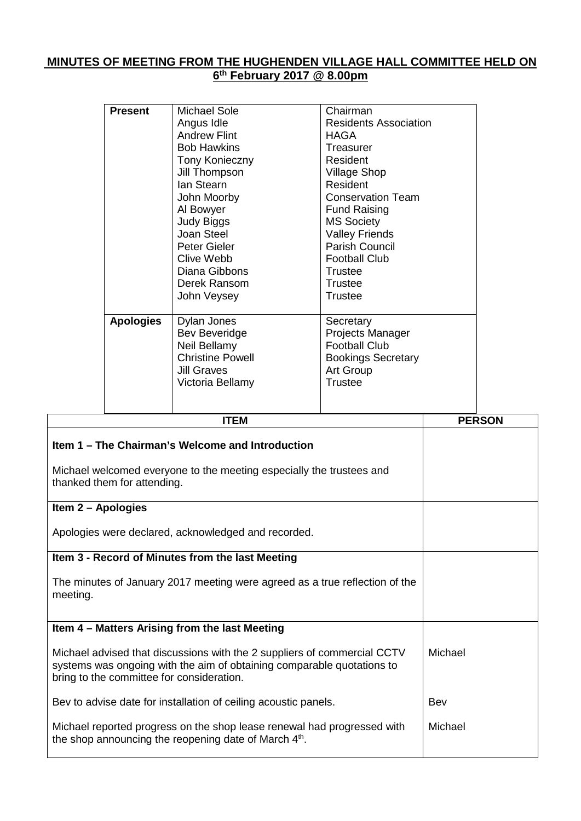## **MINUTES OF MEETING FROM THE HUGHENDEN VILLAGE HALL COMMITTEE HELD ON 6 th February 2017 @ 8.00pm**

|                    | <b>Present</b>                                                       | <b>Michael Sole</b>                              | Chairman                     |               |  |
|--------------------|----------------------------------------------------------------------|--------------------------------------------------|------------------------------|---------------|--|
|                    |                                                                      | Angus Idle                                       | <b>Residents Association</b> |               |  |
|                    |                                                                      | <b>Andrew Flint</b>                              | <b>HAGA</b>                  |               |  |
|                    |                                                                      | <b>Bob Hawkins</b>                               | Treasurer                    |               |  |
|                    |                                                                      | Tony Konieczny                                   | Resident                     |               |  |
|                    |                                                                      | Jill Thompson                                    | <b>Village Shop</b>          |               |  |
|                    |                                                                      | lan Stearn                                       | Resident                     |               |  |
|                    |                                                                      | John Moorby                                      | <b>Conservation Team</b>     |               |  |
|                    |                                                                      | Al Bowyer                                        | <b>Fund Raising</b>          |               |  |
|                    |                                                                      | <b>Judy Biggs</b>                                | <b>MS Society</b>            |               |  |
|                    |                                                                      | Joan Steel                                       | <b>Valley Friends</b>        |               |  |
|                    |                                                                      | Peter Gieler                                     | Parish Council               |               |  |
|                    |                                                                      | Clive Webb                                       | <b>Football Club</b>         |               |  |
|                    |                                                                      | Diana Gibbons                                    | <b>Trustee</b>               |               |  |
|                    |                                                                      | Derek Ransom                                     | <b>Trustee</b>               |               |  |
|                    |                                                                      | John Veysey                                      | <b>Trustee</b>               |               |  |
|                    |                                                                      |                                                  |                              |               |  |
|                    | <b>Apologies</b>                                                     | Dylan Jones                                      | Secretary                    |               |  |
|                    |                                                                      | <b>Bev Beveridge</b>                             | Projects Manager             |               |  |
|                    |                                                                      | Neil Bellamy                                     | <b>Football Club</b>         |               |  |
|                    |                                                                      | <b>Christine Powell</b>                          | <b>Bookings Secretary</b>    |               |  |
|                    |                                                                      | <b>Jill Graves</b>                               | Art Group                    |               |  |
|                    |                                                                      | Victoria Bellamy                                 | <b>Trustee</b>               |               |  |
|                    |                                                                      |                                                  |                              |               |  |
|                    |                                                                      | <b>ITEM</b>                                      |                              | <b>PERSON</b> |  |
|                    |                                                                      | Item 1 – The Chairman's Welcome and Introduction |                              |               |  |
|                    |                                                                      |                                                  |                              |               |  |
|                    | Michael welcomed everyone to the meeting especially the trustees and |                                                  |                              |               |  |
|                    | thanked them for attending.                                          |                                                  |                              |               |  |
| Item 2 - Apologies |                                                                      |                                                  |                              |               |  |

Apologies were declared, acknowledged and recorded.

**Item 3 - Record of Minutes from the last Meeting** The minutes of January 2017 meeting were agreed as a true reflection of the meeting.

**Item 4 – Matters Arising from the last Meeting** Michael advised that discussions with the 2 suppliers of commercial CCTV systems was ongoing with the aim of obtaining comparable quotations to bring to the committee for consideration. Bev to advise date for installation of ceiling acoustic panels. Michael reported progress on the shop lease renewal had progressed with the shop announcing the reopening date of March 4<sup>th</sup>. Michael Bev Michael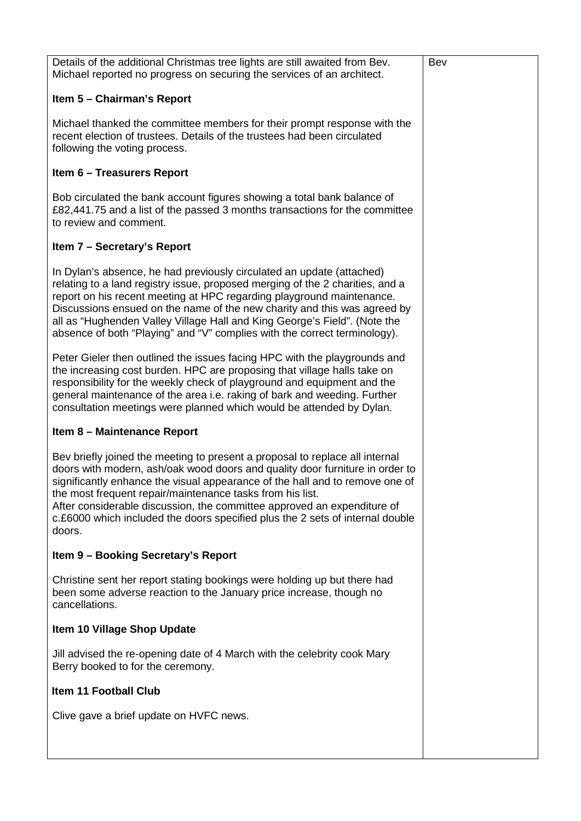| Details of the additional Christmas tree lights are still awaited from Bev.<br>Michael reported no progress on securing the services of an architect.                                                                                                                                                                                                                                                                                                                           | Bev |  |  |  |  |
|---------------------------------------------------------------------------------------------------------------------------------------------------------------------------------------------------------------------------------------------------------------------------------------------------------------------------------------------------------------------------------------------------------------------------------------------------------------------------------|-----|--|--|--|--|
| Item 5 - Chairman's Report                                                                                                                                                                                                                                                                                                                                                                                                                                                      |     |  |  |  |  |
| Michael thanked the committee members for their prompt response with the<br>recent election of trustees. Details of the trustees had been circulated<br>following the voting process.                                                                                                                                                                                                                                                                                           |     |  |  |  |  |
| <b>Item 6 - Treasurers Report</b>                                                                                                                                                                                                                                                                                                                                                                                                                                               |     |  |  |  |  |
| Bob circulated the bank account figures showing a total bank balance of<br>£82,441.75 and a list of the passed 3 months transactions for the committee<br>to review and comment.                                                                                                                                                                                                                                                                                                |     |  |  |  |  |
| Item 7 - Secretary's Report                                                                                                                                                                                                                                                                                                                                                                                                                                                     |     |  |  |  |  |
| In Dylan's absence, he had previously circulated an update (attached)<br>relating to a land registry issue, proposed merging of the 2 charities, and a<br>report on his recent meeting at HPC regarding playground maintenance.<br>Discussions ensued on the name of the new charity and this was agreed by<br>all as "Hughenden Valley Village Hall and King George's Field". (Note the<br>absence of both "Playing" and "V" complies with the correct terminology).           |     |  |  |  |  |
| Peter Gieler then outlined the issues facing HPC with the playgrounds and<br>the increasing cost burden. HPC are proposing that village halls take on<br>responsibility for the weekly check of playground and equipment and the<br>general maintenance of the area i.e. raking of bark and weeding. Further<br>consultation meetings were planned which would be attended by Dylan.                                                                                            |     |  |  |  |  |
| Item 8 - Maintenance Report                                                                                                                                                                                                                                                                                                                                                                                                                                                     |     |  |  |  |  |
| Bev briefly joined the meeting to present a proposal to replace all internal<br>doors with modern, ash/oak wood doors and quality door furniture in order to<br>significantly enhance the visual appearance of the hall and to remove one of<br>the most frequent repair/maintenance tasks from his list.<br>After considerable discussion, the committee approved an expenditure of<br>c.£6000 which included the doors specified plus the 2 sets of internal double<br>doors. |     |  |  |  |  |
| Item 9 - Booking Secretary's Report                                                                                                                                                                                                                                                                                                                                                                                                                                             |     |  |  |  |  |
| Christine sent her report stating bookings were holding up but there had<br>been some adverse reaction to the January price increase, though no<br>cancellations.                                                                                                                                                                                                                                                                                                               |     |  |  |  |  |
| Item 10 Village Shop Update                                                                                                                                                                                                                                                                                                                                                                                                                                                     |     |  |  |  |  |
| Jill advised the re-opening date of 4 March with the celebrity cook Mary<br>Berry booked to for the ceremony.                                                                                                                                                                                                                                                                                                                                                                   |     |  |  |  |  |
| <b>Item 11 Football Club</b>                                                                                                                                                                                                                                                                                                                                                                                                                                                    |     |  |  |  |  |
| Clive gave a brief update on HVFC news.                                                                                                                                                                                                                                                                                                                                                                                                                                         |     |  |  |  |  |
|                                                                                                                                                                                                                                                                                                                                                                                                                                                                                 |     |  |  |  |  |